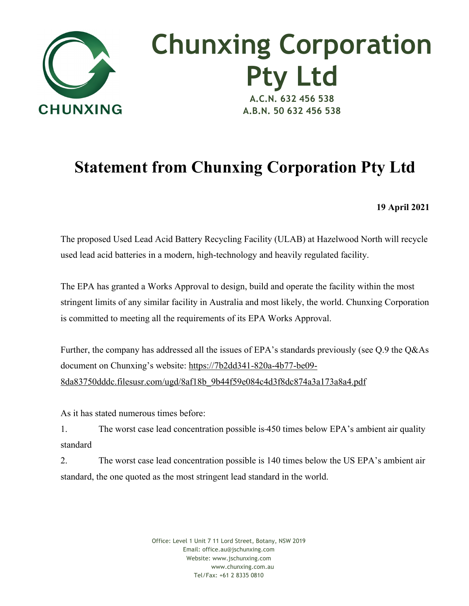

## **Chunxing Corporation Pty Ltd A.C.N. 632 456 538 A.B.N. 50 632 456 538**

## **Statement from Chunxing Corporation Pty Ltd**

**19 April 2021** 

The proposed Used Lead Acid Battery Recycling Facility (ULAB) at Hazelwood North will recycle used lead acid batteries in a modern, high-technology and heavily regulated facility.

The EPA has granted a Works Approval to design, build and operate the facility within the most stringent limits of any similar facility in Australia and most likely, the world. Chunxing Corporation is committed to meeting all the requirements of its EPA Works Approval.

Further, the company has addressed all the issues of EPA's standards previously (see Q.9 the Q&As document on Chunxing's website: https://7b2dd341-820a-4b77-be09- 8da83750dddc.filesusr.com/ugd/8af18b\_9b44f59e084c4d3f8dc874a3a173a8a4.pdf

As it has stated numerous times before:

1. The worst case lead concentration possible is 450 times below EPA's ambient air quality standard

2. The worst case lead concentration possible is 140 times below the US EPA's ambient air standard, the one quoted as the most stringent lead standard in the world.

> Office: Level 1 Unit 7 11 Lord Street, Botany, NSW 2019 Email: office.au@jschunxing.com Website: www.jschunxing.com www.chunxing.com.au Tel/Fax: +61 2 8335 0810